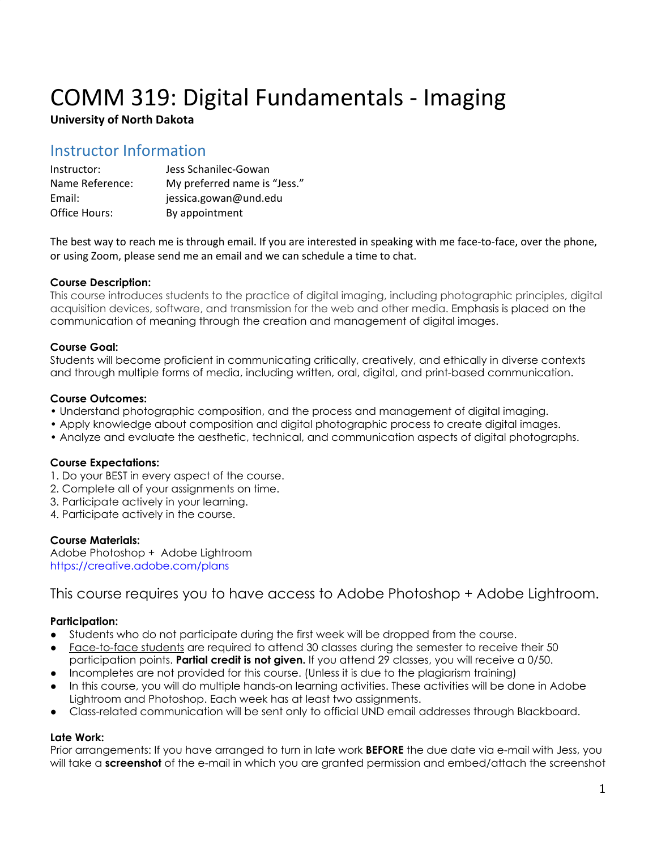# COMM 319: Digital Fundamentals - Imaging

## **University of North Dakota**

## Instructor Information

| Instructor:     | Jess Schanilec-Gowan         |
|-----------------|------------------------------|
| Name Reference: | My preferred name is "Jess." |
| Email:          | jessica.gowan@und.edu        |
| Office Hours:   | By appointment               |

The best way to reach me is through email. If you are interested in speaking with me face-to-face, over the phone, or using Zoom, please send me an email and we can schedule a time to chat.

## **Course Description:**

This course introduces students to the practice of digital imaging, including photographic principles, digital acquisition devices, software, and transmission for the web and other media. Emphasis is placed on the communication of meaning through the creation and management of digital images.

## **Course Goal:**

Students will become proficient in communicating critically, creatively, and ethically in diverse contexts and through multiple forms of media, including written, oral, digital, and print-based communication.

## **Course Outcomes:**

- Understand photographic composition, and the process and management of digital imaging.
- Apply knowledge about composition and digital photographic process to create digital images.
- Analyze and evaluate the aesthetic, technical, and communication aspects of digital photographs.

## **Course Expectations:**

- 1. Do your BEST in every aspect of the course.
- 2. Complete all of your assignments on time.
- 3. Participate actively in your learning.
- 4. Participate actively in the course.

## **Course Materials:**

Adobe Photoshop + Adobe Lightroom https://creative.adobe.com/plans

## This course requires you to have access to Adobe Photoshop + Adobe Lightroom.

## **Participation:**

- Students who do not participate during the first week will be dropped from the course.
- Face-to-face students are required to attend 30 classes during the semester to receive their 50 participation points. **Partial credit is not given.** If you attend 29 classes, you will receive a 0/50.
- Incompletes are not provided for this course. (Unless it is due to the plagiarism training)
- In this course, you will do multiple hands-on learning activities. These activities will be done in Adobe Lightroom and Photoshop. Each week has at least two assignments.
- Class-related communication will be sent only to official UND email addresses through Blackboard.

## **Late Work:**

Prior arrangements: If you have arranged to turn in late work **BEFORE** the due date via e-mail with Jess, you will take a **screenshot** of the e-mail in which you are granted permission and embed/attach the screenshot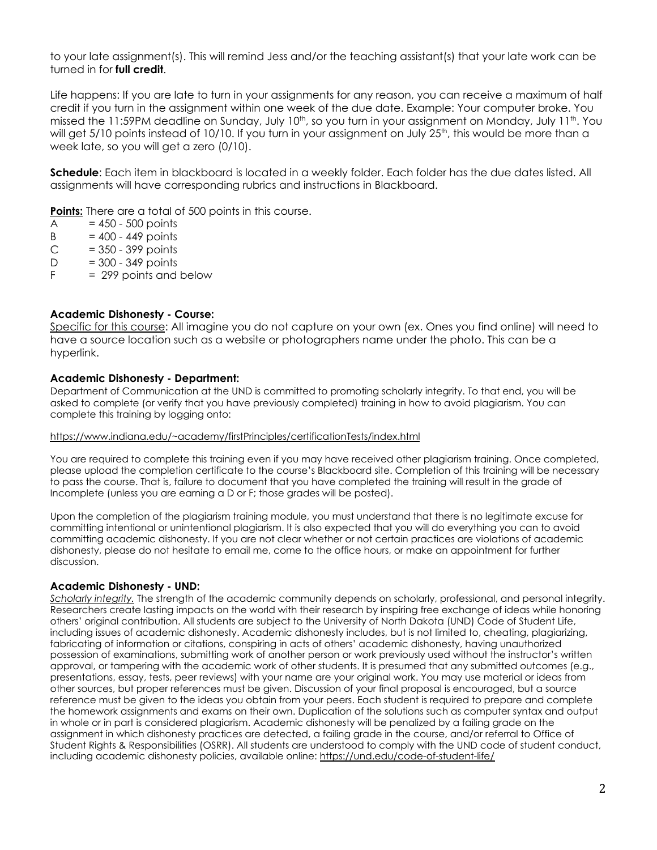to your late assignment(s). This will remind Jess and/or the teaching assistant(s) that your late work can be turned in for **full credit**.

Life happens: If you are late to turn in your assignments for any reason, you can receive a maximum of half credit if you turn in the assignment within one week of the due date. Example: Your computer broke. You missed the 11:59PM deadline on Sunday, July 10<sup>th</sup>, so you turn in your assignment on Monday, July 11<sup>th</sup>. You will get 5/10 points instead of 10/10. If you turn in your assignment on July 25<sup>th</sup>, this would be more than a week late, so you will get a zero (0/10).

**Schedule**: Each item in blackboard is located in a weekly folder. Each folder has the due dates listed. All assignments will have corresponding rubrics and instructions in Blackboard.

**Points:** There are a total of 500 points in this course.

- $A = 450 500$  points
- $B = 400 449$  points
- $C = 350 399$  points
- $D = 300 349$  points
- $F = 299$  points and below

## **Academic Dishonesty - Course:**

Specific for this course: All imagine you do not capture on your own (ex. Ones you find online) will need to have a source location such as a website or photographers name under the photo. This can be a hyperlink.

## **Academic Dishonesty - Department:**

Department of Communication at the UND is committed to promoting scholarly integrity. To that end, you will be asked to complete (or verify that you have previously completed) training in how to avoid plagiarism. You can complete this training by logging onto:

#### https://www.indiana.edu/~academy/firstPrinciples/certificationTests/index.html

You are required to complete this training even if you may have received other plagiarism training. Once completed, please upload the completion certificate to the course's Blackboard site. Completion of this training will be necessary to pass the course. That is, failure to document that you have completed the training will result in the grade of Incomplete (unless you are earning a D or F; those grades will be posted).

Upon the completion of the plagiarism training module, you must understand that there is no legitimate excuse for committing intentional or unintentional plagiarism. It is also expected that you will do everything you can to avoid committing academic dishonesty. If you are not clear whether or not certain practices are violations of academic dishonesty, please do not hesitate to email me, come to the office hours, or make an appointment for further discussion.

#### **Academic Dishonesty - UND:**

*Scholarly integrity.* The strength of the academic community depends on scholarly, professional, and personal integrity. Researchers create lasting impacts on the world with their research by inspiring free exchange of ideas while honoring others' original contribution. All students are subject to the University of North Dakota (UND) Code of Student Life, including issues of academic dishonesty. Academic dishonesty includes, but is not limited to, cheating, plagiarizing, fabricating of information or citations, conspiring in acts of others' academic dishonesty, having unauthorized possession of examinations, submitting work of another person or work previously used without the instructor's written approval, or tampering with the academic work of other students. It is presumed that any submitted outcomes (e.g., presentations, essay, tests, peer reviews) with your name are your original work. You may use material or ideas from other sources, but proper references must be given. Discussion of your final proposal is encouraged, but a source reference must be given to the ideas you obtain from your peers. Each student is required to prepare and complete the homework assignments and exams on their own. Duplication of the solutions such as computer syntax and output in whole or in part is considered plagiarism. Academic dishonesty will be penalized by a failing grade on the assignment in which dishonesty practices are detected, a failing grade in the course, and/or referral to Office of Student Rights & Responsibilities (OSRR). All students are understood to comply with the UND code of student conduct, including academic dishonesty policies, available online: <https://und.edu/code-of-student-life/>